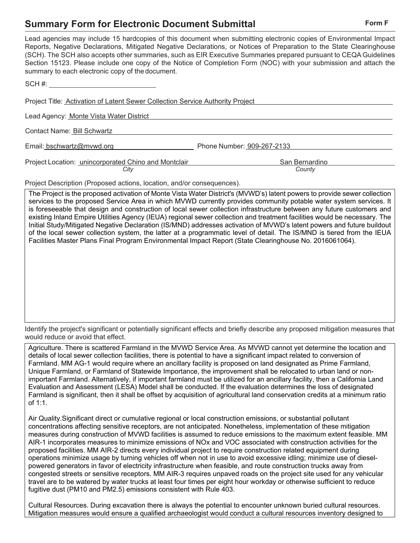## **Summary Form for Electronic Document Submittal Form Form F Form F**

| Lead agencies may include 15 hardcopies of this document when submitting electronic copies of Environmental Impact<br>Reports, Negative Declarations, Mitigated Negative Declarations, or Notices of Preparation to the State Clearinghouse<br>(SCH). The SCH also accepts other summaries, such as EIR Executive Summaries prepared pursuant to CEQA Guidelines<br>Section 15123. Please include one copy of the Notice of Completion Form (NOC) with your submission and attach the<br>summary to each electronic copy of the document. |                            |
|-------------------------------------------------------------------------------------------------------------------------------------------------------------------------------------------------------------------------------------------------------------------------------------------------------------------------------------------------------------------------------------------------------------------------------------------------------------------------------------------------------------------------------------------|----------------------------|
| $SCH \#$                                                                                                                                                                                                                                                                                                                                                                                                                                                                                                                                  |                            |
| Project Title: <b>Activation of Latent Sewer Collection Service Authority Project</b>                                                                                                                                                                                                                                                                                                                                                                                                                                                     |                            |
| Lead Agency: Monte Vista Water District                                                                                                                                                                                                                                                                                                                                                                                                                                                                                                   |                            |
| Contact Name: Bill Schwartz                                                                                                                                                                                                                                                                                                                                                                                                                                                                                                               |                            |
| Email: bschwartz@mvwd.org                                                                                                                                                                                                                                                                                                                                                                                                                                                                                                                 | Phone Number: 909-267-2133 |
| Project Location: unincorporated Chino and Montclair                                                                                                                                                                                                                                                                                                                                                                                                                                                                                      | San Bernardino             |
| City<br>Project Description (Proposed actions, location, and/or consequences).                                                                                                                                                                                                                                                                                                                                                                                                                                                            | County                     |

The Project is the proposed activation of Monte Vista Water District's (MVWD's) latent powers to provide sewer collection services to the proposed Service Area in which MVWD currently provides community potable water system services. It is foreseeable that design and construction of local sewer collection infrastructure between any future customers and existing Inland Empire Utilities Agency (IEUA) regional sewer collection and treatment facilities would be necessary. The Initial Study/Mitigated Negative Declaration (IS/MND) addresses activation of MVWD's latent powers and future buildout of the local sewer collection system, the latter at a programmatic level of detail. The IS/MND is tiered from the IEUA Facilities Master Plans Final Program Environmental Impact Report (State Clearinghouse No. 2016061064).

Identify the project's significant or potentially significant effects and briefly describe any proposed mitigation measures that would reduce or avoid that effect.

Agriculture. There is scattered Farmland in the MVWD Service Area. As MVWD cannot yet determine the location and details of local sewer collection facilities, there is potential to have a significant impact related to conversion of Farmland. MM AG-1 would require where an ancillary facility is proposed on land designated as Prime Farmland, Unique Farmland, or Farmland of Statewide Importance, the improvement shall be relocated to urban land or nonimportant Farmland. Alternatively, if important farmland must be utilized for an ancillary facility, then a California Land Evaluation and Assessment (LESA) Model shall be conducted. If the evaluation determines the loss of designated Farmland is significant, then it shall be offset by acquisition of agricultural land conservation credits at a minimum ratio of 1:1.

Air Quality.Significant direct or cumulative regional or local construction emissions, or substantial pollutant concentrations affecting sensitive receptors, are not anticipated. Nonetheless, implementation of these mitigation measures during construction of MVWD facilities is assumed to reduce emissions to the maximum extent feasible. MM AIR-1 incorporates measures to minimize emissions of NOx and VOC associated with construction activities for the proposed facilities. MM AIR-2 directs every individual project to require construction related equipment during operations minimize usage by turning vehicles off when not in use to avoid excessive idling; minimize use of dieselpowered generators in favor of electricity infrastructure when feasible, and route construction trucks away from congested streets or sensitive receptors. MM AIR-3 requires unpaved roads on the project site used for any vehicular travel are to be watered by water trucks at least four times per eight hour workday or otherwise sufficient to reduce fugitive dust (PM10 and PM2.5) emissions consistent with Rule 403.

Cultural Resources. During excavation there is always the potential to encounter unknown buried cultural resources. Mitigation measures would ensure a qualified archaeologist would conduct a cultural resources inventory designed to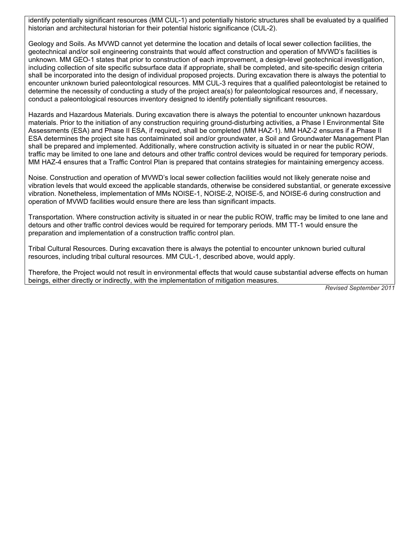identify potentially significant resources (MM CUL-1) and potentially historic structures shall be evaluated by a qualified historian and architectural historian for their potential historic significance (CUL-2).

Geology and Soils. As MVWD cannot yet determine the location and details of local sewer collection facilities, the geotechnical and/or soil engineering constraints that would affect construction and operation of MVWD's facilities is unknown. MM GEO-1 states that prior to construction of each improvement, a design-level geotechnical investigation, including collection of site specific subsurface data if appropriate, shall be completed, and site-specific design criteria shall be incorporated into the design of individual proposed projects. During excavation there is always the potential to encounter unknown buried paleontological resources. MM CUL-3 requires that a qualified paleontologist be retained to determine the necessity of conducting a study of the project area(s) for paleontological resources and, if necessary, conduct a paleontological resources inventory designed to identify potentially significant resources.

Hazards and Hazardous Materials. During excavation there is always the potential to encounter unknown hazardous materials. Prior to the initiation of any construction requiring ground-disturbing activities, a Phase I Environmental Site Assessments (ESA) and Phase II ESA, if required, shall be completed (MM HAZ-1). MM HAZ-2 ensures if a Phase II ESA determines the project site has contaiminated soil and/or groundwater, a Soil and Groundwater Management Plan shall be prepared and implemented. Additionally, where construction activity is situated in or near the public ROW, traffic may be limited to one lane and detours and other traffic control devices would be required for temporary periods. MM HAZ-4 ensures that a Traffic Control Plan is prepared that contains strategies for maintaining emergency access.

Noise. Construction and operation of MVWD's local sewer collection facilities would not likely generate noise and vibration levels that would exceed the applicable standards, otherwise be considered substantial, or generate excessive vibration. Nonetheless, implementation of MMs NOISE-1, NOISE-2, NOISE-5, and NOISE-6 during construction and operation of MVWD facilities would ensure there are less than significant impacts.

Transportation. Where construction activity is situated in or near the public ROW, traffic may be limited to one lane and detours and other traffic control devices would be required for temporary periods. MM TT-1 would ensure the preparation and implementation of a construction traffic control plan.

Tribal Cultural Resources. During excavation there is always the potential to encounter unknown buried cultural resources, including tribal cultural resources. MM CUL-1, described above, would apply.

Therefore, the Project would not result in environmental effects that would cause substantial adverse effects on human beings, either directly or indirectly, with the implementation of mitigation measures.

*Revised September 2011*